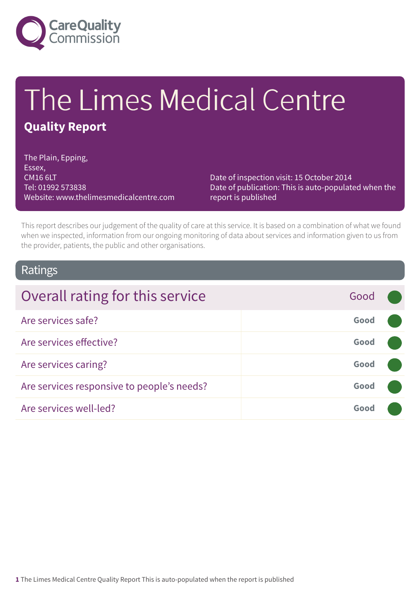

# The Limes Medical Centre

### **Quality Report**

The Plain, Epping, Essex, CM16 6LT Tel: 01992 573838 Website: www.thelimesmedicalcentre.com

Date of inspection visit: 15 October 2014 Date of publication: This is auto-populated when the report is published

This report describes our judgement of the quality of care at this service. It is based on a combination of what we found when we inspected, information from our ongoing monitoring of data about services and information given to us from the provider, patients, the public and other organisations.

### Ratings

| Overall rating for this service            | Good |  |
|--------------------------------------------|------|--|
| Are services safe?                         | Good |  |
| Are services effective?                    | Good |  |
| Are services caring?                       | Good |  |
| Are services responsive to people's needs? | Good |  |
| Are services well-led?                     | Good |  |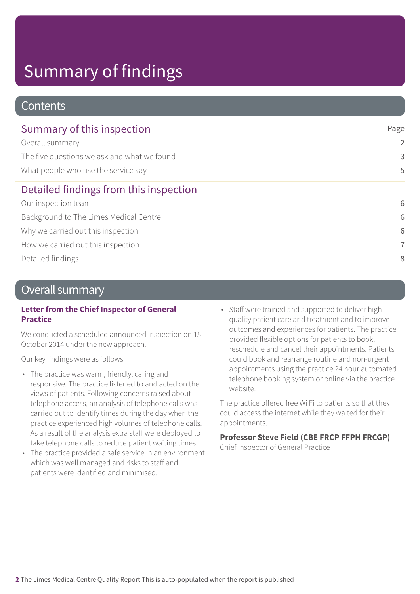# Summary of findings

### **Contents**

| Summary of this inspection                  | Page           |  |
|---------------------------------------------|----------------|--|
| Overall summary                             | $\overline{2}$ |  |
| The five questions we ask and what we found | 3              |  |
| What people who use the service say         | 5              |  |
| Detailed findings from this inspection      |                |  |
| Our inspection team                         | 6              |  |
| Background to The Limes Medical Centre      | 6              |  |
| Why we carried out this inspection          | 6              |  |
| How we carried out this inspection          | $\overline{7}$ |  |
| Detailed findings                           | 8              |  |

### Overall summary

#### **Letter from the Chief Inspector of General Practice**

We conducted a scheduled announced inspection on 15 October 2014 under the new approach.

Our key findings were as follows:

- The practice was warm, friendly, caring and responsive. The practice listened to and acted on the views of patients. Following concerns raised about telephone access, an analysis of telephone calls was carried out to identify times during the day when the practice experienced high volumes of telephone calls. As a result of the analysis extra staff were deployed to take telephone calls to reduce patient waiting times.
- The practice provided a safe service in an environment which was well managed and risks to staff and patients were identified and minimised.
- Staff were trained and supported to deliver high quality patient care and treatment and to improve outcomes and experiences for patients. The practice provided flexible options for patients to book, reschedule and cancel their appointments. Patients could book and rearrange routine and non-urgent appointments using the practice 24 hour automated telephone booking system or online via the practice website.

The practice offered free Wi Fi to patients so that they could access the internet while they waited for their appointments.

#### **Professor Steve Field (CBE FRCP FFPH FRCGP)**

Chief Inspector of General Practice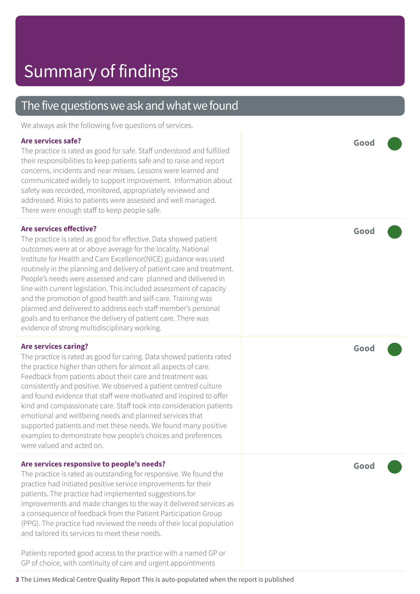### The five questions we ask and what we found

We always ask the following five questions of services.

#### **Are services safe?**

The practice is rated as good for safe. Staff understood and fulfilled their responsibilities to keep patients safe and to raise and report concerns, incidents and near misses. Lessons were learned and communicated widely to support improvement. Information about safety was recorded, monitored, appropriately reviewed and addressed. Risks to patients were assessed and well managed. There were enough staff to keep people safe.

#### **Are services effective?**

The practice is rated as good for effective. Data showed patient outcomes were at or above average for the locality. National Institute for Health and Care Excellence(NICE) guidance was used routinely in the planning and delivery of patient care and treatment. People's needs were assessed and care planned and delivered in line with current legislation. This included assessment of capacity and the promotion of good health and self-care. Training was planned and delivered to address each staff member's personal goals and to enhance the delivery of patient care. There was evidence of strong multidisciplinary working.

#### **Are services caring?**

The practice is rated as good for caring. Data showed patients rated the practice higher than others for almost all aspects of care. Feedback from patients about their care and treatment was consistently and positive. We observed a patient centred culture and found evidence that staff were motivated and inspired to offer kind and compassionate care. Staff took into consideration patients emotional and wellbeing needs and planned services that supported patients and met these needs. We found many positive examples to demonstrate how people's choices and preferences were valued and acted on.

#### **Are services responsive to people's needs?**

The practice is rated as outstanding for responsive. We found the practice had initiated positive service improvements for their patients. The practice had implemented suggestions for improvements and made changes to the way it delivered services as a consequence of feedback from the Patient Participation Group (PPG). The practice had reviewed the needs of their local population and tailored its services to meet these needs.

Patients reported good access to the practice with a named GP or GP of choice, with continuity of care and urgent appointments

**Good –––**

**Good –––**

**Good –––**

**Good –––**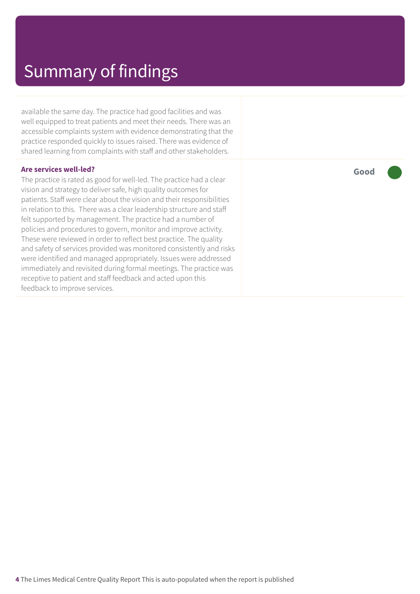available the same day. The practice had good facilities and was well equipped to treat patients and meet their needs. There was an accessible complaints system with evidence demonstrating that the practice responded quickly to issues raised. There was evidence of shared learning from complaints with staff and other stakeholders.

#### **Are services well-led?**

The practice is rated as good for well-led. The practice had a clear vision and strategy to deliver safe, high quality outcomes for patients. Staff were clear about the vision and their responsibilities in relation to this. There was a clear leadership structure and staff felt supported by management. The practice had a number of policies and procedures to govern, monitor and improve activity. These were reviewed in order to reflect best practice. The quality and safety of services provided was monitored consistently and risks were identified and managed appropriately. Issues were addressed immediately and revisited during formal meetings. The practice was receptive to patient and staff feedback and acted upon this feedback to improve services.

**Good –––**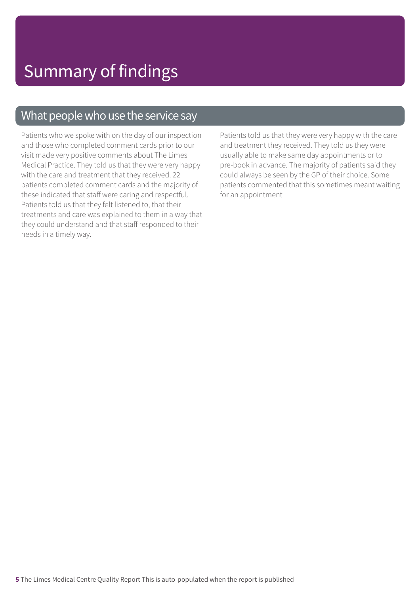### What people who use the service say

Patients who we spoke with on the day of our inspection and those who completed comment cards prior to our visit made very positive comments about The Limes Medical Practice. They told us that they were very happy with the care and treatment that they received. 22 patients completed comment cards and the majority of these indicated that staff were caring and respectful. Patients told us that they felt listened to, that their treatments and care was explained to them in a way that they could understand and that staff responded to their needs in a timely way.

Patients told us that they were very happy with the care and treatment they received. They told us they were usually able to make same day appointments or to pre-book in advance. The majority of patients said they could always be seen by the GP of their choice. Some patients commented that this sometimes meant waiting for an appointment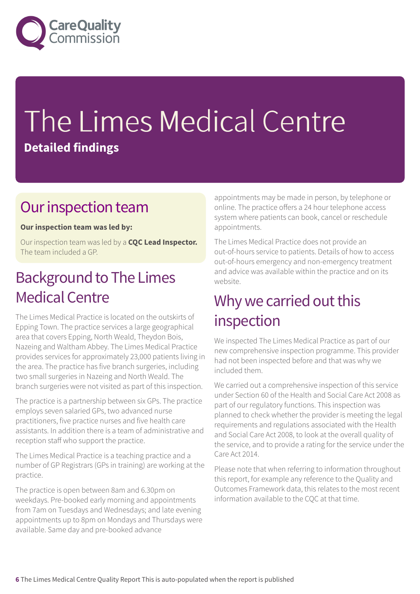

# The Limes Medical Centre **Detailed findings**

### Our inspection team

#### **Our inspection team was led by:**

Our inspection team was led by a **CQC Lead Inspector.** The team included a GP.

### **Background to The Limes** Medical Centre

The Limes Medical Practice is located on the outskirts of Epping Town. The practice services a large geographical area that covers Epping, North Weald, Theydon Bois, Nazeing and Waltham Abbey. The Limes Medical Practice provides services for approximately 23,000 patients living in the area. The practice has five branch surgeries, including two small surgeries in Nazeing and North Weald. The branch surgeries were not visited as part of this inspection.

The practice is a partnership between six GPs. The practice employs seven salaried GPs, two advanced nurse practitioners, five practice nurses and five health care assistants. In addition there is a team of administrative and reception staff who support the practice.

The Limes Medical Practice is a teaching practice and a number of GP Registrars (GPs in training) are working at the practice.

The practice is open between 8am and 6.30pm on weekdays. Pre-booked early morning and appointments from 7am on Tuesdays and Wednesdays; and late evening appointments up to 8pm on Mondays and Thursdays were available. Same day and pre-booked advance

appointments may be made in person, by telephone or online. The practice offers a 24 hour telephone access system where patients can book, cancel or reschedule appointments.

The Limes Medical Practice does not provide an out-of-hours service to patients. Details of how to access out-of-hours emergency and non-emergency treatment and advice was available within the practice and on its website.

### Why we carried out this inspection

We inspected The Limes Medical Practice as part of our new comprehensive inspection programme. This provider had not been inspected before and that was why we included them.

We carried out a comprehensive inspection of this service under Section 60 of the Health and Social Care Act 2008 as part of our regulatory functions. This inspection was planned to check whether the provider is meeting the legal requirements and regulations associated with the Health and Social Care Act 2008, to look at the overall quality of the service, and to provide a rating for the service under the Care Act 2014.

Please note that when referring to information throughout this report, for example any reference to the Quality and Outcomes Framework data, this relates to the most recent information available to the CQC at that time.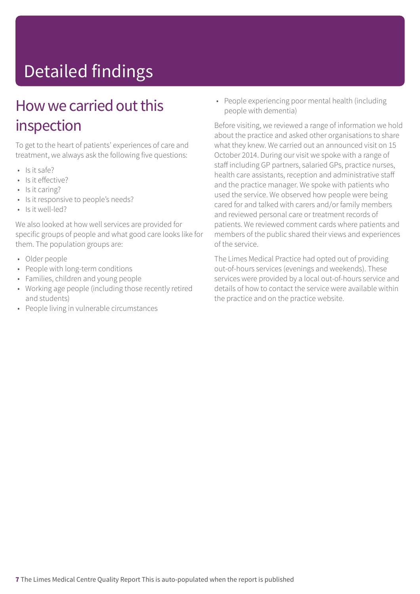# Detailed findings

### How we carried out this inspection

To get to the heart of patients' experiences of care and treatment, we always ask the following five questions:

- Is it safe?
- Is it effective?
- Is it caring?
- Is it responsive to people's needs?
- Is it well-led?

We also looked at how well services are provided for specific groups of people and what good care looks like for them. The population groups are:

- Older people
- People with long-term conditions
- Families, children and young people
- Working age people (including those recently retired and students)
- People living in vulnerable circumstances

• People experiencing poor mental health (including people with dementia)

Before visiting, we reviewed a range of information we hold about the practice and asked other organisations to share what they knew. We carried out an announced visit on 15 October 2014. During our visit we spoke with a range of staff including GP partners, salaried GPs, practice nurses, health care assistants, reception and administrative staff and the practice manager. We spoke with patients who used the service. We observed how people were being cared for and talked with carers and/or family members and reviewed personal care or treatment records of patients. We reviewed comment cards where patients and members of the public shared their views and experiences of the service.

The Limes Medical Practice had opted out of providing out-of-hours services (evenings and weekends). These services were provided by a local out-of-hours service and details of how to contact the service were available within the practice and on the practice website.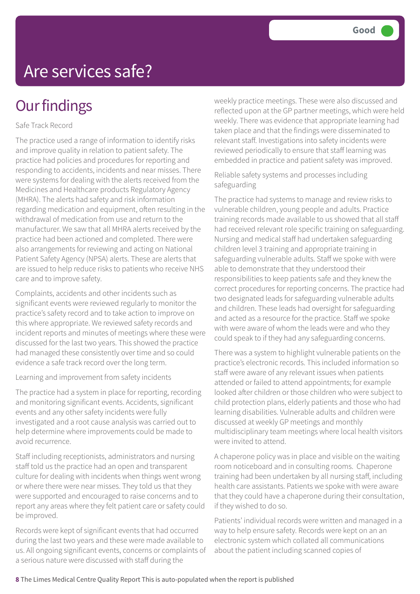### **Our findings**

#### Safe Track Record

The practice used a range of information to identify risks and improve quality in relation to patient safety. The practice had policies and procedures for reporting and responding to accidents, incidents and near misses. There were systems for dealing with the alerts received from the Medicines and Healthcare products Regulatory Agency (MHRA). The alerts had safety and risk information regarding medication and equipment, often resulting in the withdrawal of medication from use and return to the manufacturer. We saw that all MHRA alerts received by the practice had been actioned and completed. There were also arrangements for reviewing and acting on National Patient Safety Agency (NPSA) alerts. These are alerts that are issued to help reduce risks to patients who receive NHS care and to improve safety.

Complaints, accidents and other incidents such as significant events were reviewed regularly to monitor the practice's safety record and to take action to improve on this where appropriate. We reviewed safety records and incident reports and minutes of meetings where these were discussed for the last two years. This showed the practice had managed these consistently over time and so could evidence a safe track record over the long term.

Learning and improvement from safety incidents

The practice had a system in place for reporting, recording and monitoring significant events. Accidents, significant events and any other safety incidents were fully investigated and a root cause analysis was carried out to help determine where improvements could be made to avoid recurrence.

Staff including receptionists, administrators and nursing staff told us the practice had an open and transparent culture for dealing with incidents when things went wrong or where there were near misses. They told us that they were supported and encouraged to raise concerns and to report any areas where they felt patient care or safety could be improved.

Records were kept of significant events that had occurred during the last two years and these were made available to us. All ongoing significant events, concerns or complaints of a serious nature were discussed with staff during the

weekly practice meetings. These were also discussed and reflected upon at the GP partner meetings, which were held weekly. There was evidence that appropriate learning had taken place and that the findings were disseminated to relevant staff. Investigations into safety incidents were reviewed periodically to ensure that staff learning was embedded in practice and patient safety was improved.

Reliable safety systems and processes including safeguarding

The practice had systems to manage and review risks to vulnerable children, young people and adults. Practice training records made available to us showed that all staff had received relevant role specific training on safeguarding. Nursing and medical staff had undertaken safeguarding children level 3 training and appropriate training in safeguarding vulnerable adults. Staff we spoke with were able to demonstrate that they understood their responsibilities to keep patients safe and they knew the correct procedures for reporting concerns. The practice had two designated leads for safeguarding vulnerable adults and children. These leads had oversight for safeguarding and acted as a resource for the practice. Staff we spoke with were aware of whom the leads were and who they could speak to if they had any safeguarding concerns.

There was a system to highlight vulnerable patients on the practice's electronic records. This included information so staff were aware of any relevant issues when patients attended or failed to attend appointments; for example looked after children or those children who were subject to child protection plans, elderly patients and those who had learning disabilities. Vulnerable adults and children were discussed at weekly GP meetings and monthly multidisciplinary team meetings where local health visitors were invited to attend.

A chaperone policy was in place and visible on the waiting room noticeboard and in consulting rooms. Chaperone training had been undertaken by all nursing staff, including health care assistants. Patients we spoke with were aware that they could have a chaperone during their consultation, if they wished to do so.

Patients' individual records were written and managed in a way to help ensure safety. Records were kept on an an electronic system which collated all communications about the patient including scanned copies of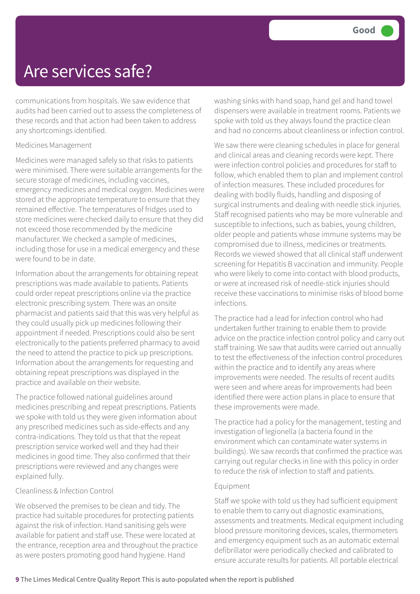communications from hospitals. We saw evidence that audits had been carried out to assess the completeness of these records and that action had been taken to address any shortcomings identified.

#### Medicines Management

Medicines were managed safely so that risks to patients were minimised. There were suitable arrangements for the secure storage of medicines, including vaccines, emergency medicines and medical oxygen. Medicines were stored at the appropriate temperature to ensure that they remained effective. The temperatures of fridges used to store medicines were checked daily to ensure that they did not exceed those recommended by the medicine manufacturer. We checked a sample of medicines, including those for use in a medical emergency and these were found to be in date.

Information about the arrangements for obtaining repeat prescriptions was made available to patients. Patients could order repeat prescriptions online via the practice electronic prescribing system. There was an onsite pharmacist and patients said that this was very helpful as they could usually pick up medicines following their appointment if needed. Prescriptions could also be sent electronically to the patients preferred pharmacy to avoid the need to attend the practice to pick up prescriptions. Information about the arrangements for requesting and obtaining repeat prescriptions was displayed in the practice and available on their website.

The practice followed national guidelines around medicines prescribing and repeat prescriptions. Patients we spoke with told us they were given information about any prescribed medicines such as side-effects and any contra-indications. They told us that that the repeat prescription service worked well and they had their medicines in good time. They also confirmed that their prescriptions were reviewed and any changes were explained fully.

#### Cleanliness & Infection Control

We observed the premises to be clean and tidy. The practice had suitable procedures for protecting patients against the risk of infection. Hand sanitising gels were available for patient and staff use. These were located at the entrance, reception area and throughout the practice as were posters promoting good hand hygiene. Hand

washing sinks with hand soap, hand gel and hand towel dispensers were available in treatment rooms. Patients we spoke with told us they always found the practice clean and had no concerns about cleanliness or infection control.

We saw there were cleaning schedules in place for general and clinical areas and cleaning records were kept. There were infection control policies and procedures for staff to follow, which enabled them to plan and implement control of infection measures. These included procedures for dealing with bodily fluids, handling and disposing of surgical instruments and dealing with needle stick injuries. Staff recognised patients who may be more vulnerable and susceptible to infections, such as babies, young children, older people and patients whose immune systems may be compromised due to illness, medicines or treatments. Records we viewed showed that all clinical staff underwent screening for Hepatitis B vaccination and immunity. People who were likely to come into contact with blood products, or were at increased risk of needle-stick injuries should receive these vaccinations to minimise risks of blood borne infections.

The practice had a lead for infection control who had undertaken further training to enable them to provide advice on the practice infection control policy and carry out staff training. We saw that audits were carried out annually to test the effectiveness of the infection control procedures within the practice and to identify any areas where improvements were needed. The results of recent audits were seen and where areas for improvements had been identified there were action plans in place to ensure that these improvements were made.

The practice had a policy for the management, testing and investigation of legionella (a bacteria found in the environment which can contaminate water systems in buildings). We saw records that confirmed the practice was carrying out regular checks in line with this policy in order to reduce the risk of infection to staff and patients.

#### Equipment

Staff we spoke with told us they had sufficient equipment to enable them to carry out diagnostic examinations, assessments and treatments. Medical equipment including blood pressure monitoring devices, scales, thermometers and emergency equipment such as an automatic external defibrillator were periodically checked and calibrated to ensure accurate results for patients. All portable electrical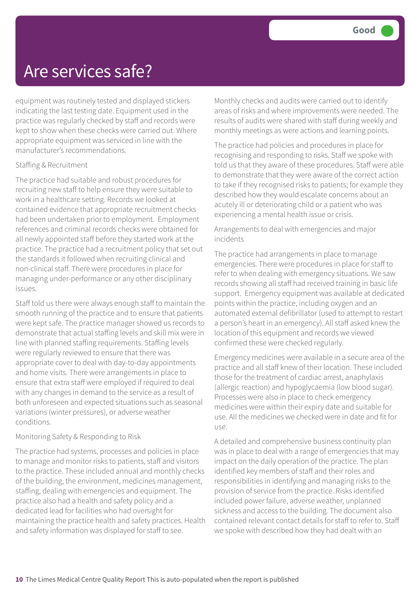equipment was routinely tested and displayed stickers indicating the last testing date. Equipment used in the practice was regularly checked by staff and records were kept to show when these checks were carried out. Where appropriate equipment was serviced in line with the manufacturer's recommendations.

#### Staffing & Recruitment

The practice had suitable and robust procedures for recruiting new staff to help ensure they were suitable to work in a healthcare setting. Records we looked at contained evidence that appropriate recruitment checks had been undertaken prior to employment. Employment references and criminal records checks were obtained for all newly appointed staff before they started work at the practice. The practice had a recruitment policy that set out the standards it followed when recruiting clinical and non-clinical staff. There were procedures in place for managing under-performance or any other disciplinary issues.

Staff told us there were always enough staff to maintain the smooth running of the practice and to ensure that patients were kept safe. The practice manager showed us records to demonstrate that actual staffing levels and skill mix were in line with planned staffing requirements. Staffing levels were regularly reviewed to ensure that there was appropriate cover to deal with day-to-day appointments and home visits. There were arrangements in place to ensure that extra staff were employed if required to deal with any changes in demand to the service as a result of both unforeseen and expected situations such as seasonal variations (winter pressures), or adverse weather conditions.

#### Monitoring Safety & Responding to Risk

The practice had systems, processes and policies in place to manage and monitor risks to patients, staff and visitors to the practice. These included annual and monthly checks of the building, the environment, medicines management, staffing, dealing with emergencies and equipment. The practice also had a health and safety policy and a dedicated lead for facilities who had oversight for maintaining the practice health and safety practices. Health and safety information was displayed for staff to see.

Monthly checks and audits were carried out to identify areas of risks and where improvements were needed. The results of audits were shared with staff during weekly and monthly meetings as were actions and learning points.

The practice had policies and procedures in place for recognising and responding to risks. Staff we spoke with told us that they aware of these procedures. Staff were able to demonstrate that they were aware of the correct action to take if they recognised risks to patients; for example they described how they would escalate concerns about an acutely ill or deteriorating child or a patient who was experiencing a mental health issue or crisis.

#### Arrangements to deal with emergencies and major incidents

The practice had arrangements in place to manage emergencies. There were procedures in place for staff to refer to when dealing with emergency situations. We saw records showing all staff had received training in basic life support. Emergency equipment was available at dedicated points within the practice, including oxygen and an automated external defibrillator (used to attempt to restart a person's heart in an emergency). All staff asked knew the location of this equipment and records we viewed confirmed these were checked regularly.

Emergency medicines were available in a secure area of the practice and all staff knew of their location. These included those for the treatment of cardiac arrest, anaphylaxis (allergic reaction) and hypoglycaemia (low blood sugar). Processes were also in place to check emergency medicines were within their expiry date and suitable for use. All the medicines we checked were in date and fit for use.

A detailed and comprehensive business continuity plan was in place to deal with a range of emergencies that may impact on the daily operation of the practice. The plan identified key members of staff and their roles and responsibilities in identifying and managing risks to the provision of service from the practice. Risks identified included power failure, adverse weather, unplanned sickness and access to the building. The document also contained relevant contact details for staff to refer to. Staff we spoke with described how they had dealt with an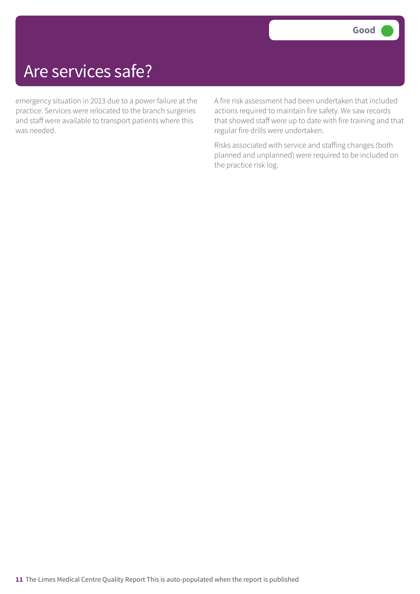emergency situation in 2013 due to a power failure at the practice. Services were relocated to the branch surgeries and staff were available to transport patients where this was needed.

A fire risk assessment had been undertaken that included actions required to maintain fire safety. We saw records that showed staff were up to date with fire training and that regular fire drills were undertaken.

Risks associated with service and staffing changes (both planned and unplanned) were required to be included on the practice risk log.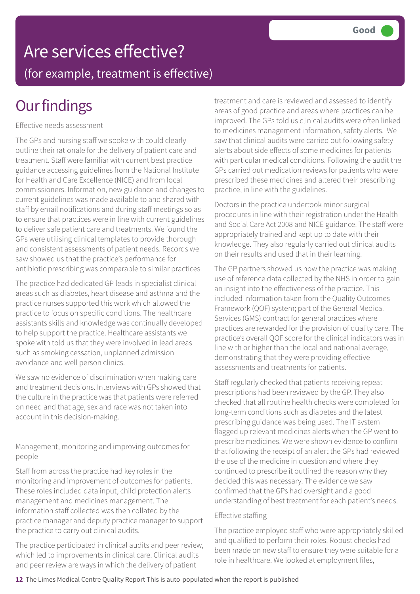# Are services effective?

(for example, treatment is effective)

## **Our findings**

Effective needs assessment

The GPs and nursing staff we spoke with could clearly outline their rationale for the delivery of patient care and treatment. Staff were familiar with current best practice guidance accessing guidelines from the National Institute for Health and Care Excellence (NICE) and from local commissioners. Information, new guidance and changes to current guidelines was made available to and shared with staff by email notifications and during staff meetings so as to ensure that practices were in line with current guidelines to deliver safe patient care and treatments. We found the GPs were utilising clinical templates to provide thorough and consistent assessments of patient needs. Records we saw showed us that the practice's performance for antibiotic prescribing was comparable to similar practices.

The practice had dedicated GP leads in specialist clinical areas such as diabetes, heart disease and asthma and the practice nurses supported this work which allowed the practice to focus on specific conditions. The healthcare assistants skills and knowledge was continually developed to help support the practice. Healthcare assistants we spoke with told us that they were involved in lead areas such as smoking cessation, unplanned admission avoidance and well person clinics.

We saw no evidence of discrimination when making care and treatment decisions. Interviews with GPs showed that the culture in the practice was that patients were referred on need and that age, sex and race was not taken into account in this decision-making.

Management, monitoring and improving outcomes for people

Staff from across the practice had key roles in the monitoring and improvement of outcomes for patients. These roles included data input, child protection alerts management and medicines management. The information staff collected was then collated by the practice manager and deputy practice manager to support the practice to carry out clinical audits.

The practice participated in clinical audits and peer review, which led to improvements in clinical care. Clinical audits and peer review are ways in which the delivery of patient

treatment and care is reviewed and assessed to identify areas of good practice and areas where practices can be improved. The GPs told us clinical audits were often linked to medicines management information, safety alerts. We saw that clinical audits were carried out following safety alerts about side effects of some medicines for patients with particular medical conditions. Following the audit the GPs carried out medication reviews for patients who were prescribed these medicines and altered their prescribing practice, in line with the guidelines.

Doctors in the practice undertook minor surgical procedures in line with their registration under the Health and Social Care Act 2008 and NICE guidance. The staff were appropriately trained and kept up to date with their knowledge. They also regularly carried out clinical audits on their results and used that in their learning.

The GP partners showed us how the practice was making use of reference data collected by the NHS in order to gain an insight into the effectiveness of the practice. This included information taken from the Quality Outcomes Framework (QOF) system; part of the General Medical Services (GMS) contract for general practices where practices are rewarded for the provision of quality care. The practice's overall QOF score for the clinical indicators was in line with or higher than the local and national average, demonstrating that they were providing effective assessments and treatments for patients.

Staff regularly checked that patients receiving repeat prescriptions had been reviewed by the GP. They also checked that all routine health checks were completed for long-term conditions such as diabetes and the latest prescribing guidance was being used. The IT system flagged up relevant medicines alerts when the GP went to prescribe medicines. We were shown evidence to confirm that following the receipt of an alert the GPs had reviewed the use of the medicine in question and where they continued to prescribe it outlined the reason why they decided this was necessary. The evidence we saw confirmed that the GPs had oversight and a good understanding of best treatment for each patient's needs.

#### Effective staffing

The practice employed staff who were appropriately skilled and qualified to perform their roles. Robust checks had been made on new staff to ensure they were suitable for a role in healthcare. We looked at employment files,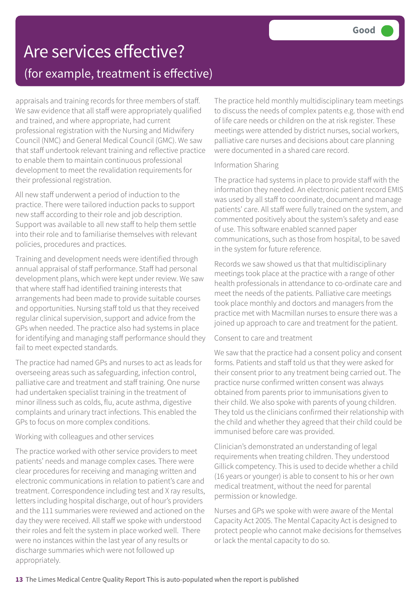### Are services effective? (for example, treatment is effective)

appraisals and training records for three members of staff. We saw evidence that all staff were appropriately qualified and trained, and where appropriate, had current professional registration with the Nursing and Midwifery Council (NMC) and General Medical Council (GMC). We saw that staff undertook relevant training and reflective practice to enable them to maintain continuous professional development to meet the revalidation requirements for their professional registration.

All new staff underwent a period of induction to the practice. There were tailored induction packs to support new staff according to their role and job description. Support was available to all new staff to help them settle into their role and to familiarise themselves with relevant policies, procedures and practices.

Training and development needs were identified through annual appraisal of staff performance. Staff had personal development plans, which were kept under review. We saw that where staff had identified training interests that arrangements had been made to provide suitable courses and opportunities. Nursing staff told us that they received regular clinical supervision, support and advice from the GPs when needed. The practice also had systems in place for identifying and managing staff performance should they fail to meet expected standards.

The practice had named GPs and nurses to act as leads for overseeing areas such as safeguarding, infection control, palliative care and treatment and staff training. One nurse had undertaken specialist training in the treatment of minor illness such as colds, flu, acute asthma, digestive complaints and urinary tract infections. This enabled the GPs to focus on more complex conditions.

#### Working with colleagues and other services

The practice worked with other service providers to meet patients' needs and manage complex cases. There were clear procedures for receiving and managing written and electronic communications in relation to patient's care and treatment. Correspondence including test and X ray results, letters including hospital discharge, out of hour's providers and the 111 summaries were reviewed and actioned on the day they were received. All staff we spoke with understood their roles and felt the system in place worked well. There were no instances within the last year of any results or discharge summaries which were not followed up appropriately.

The practice held monthly multidisciplinary team meetings to discuss the needs of complex patents e.g. those with end of life care needs or children on the at risk register. These meetings were attended by district nurses, social workers, palliative care nurses and decisions about care planning were documented in a shared care record.

#### Information Sharing

The practice had systems in place to provide staff with the information they needed. An electronic patient record EMIS was used by all staff to coordinate, document and manage patients' care. All staff were fully trained on the system, and commented positively about the system's safety and ease of use. This software enabled scanned paper communications, such as those from hospital, to be saved in the system for future reference.

Records we saw showed us that that multidisciplinary meetings took place at the practice with a range of other health professionals in attendance to co-ordinate care and meet the needs of the patients. Palliative care meetings took place monthly and doctors and managers from the practice met with Macmillan nurses to ensure there was a joined up approach to care and treatment for the patient.

#### Consent to care and treatment

We saw that the practice had a consent policy and consent forms. Patients and staff told us that they were asked for their consent prior to any treatment being carried out. The practice nurse confirmed written consent was always obtained from parents prior to immunisations given to their child. We also spoke with parents of young children. They told us the clinicians confirmed their relationship with the child and whether they agreed that their child could be immunised before care was provided.

Clinician's demonstrated an understanding of legal requirements when treating children. They understood Gillick competency. This is used to decide whether a child (16 years or younger) is able to consent to his or her own medical treatment, without the need for parental permission or knowledge.

Nurses and GPs we spoke with were aware of the Mental Capacity Act 2005. The Mental Capacity Act is designed to protect people who cannot make decisions for themselves or lack the mental capacity to do so.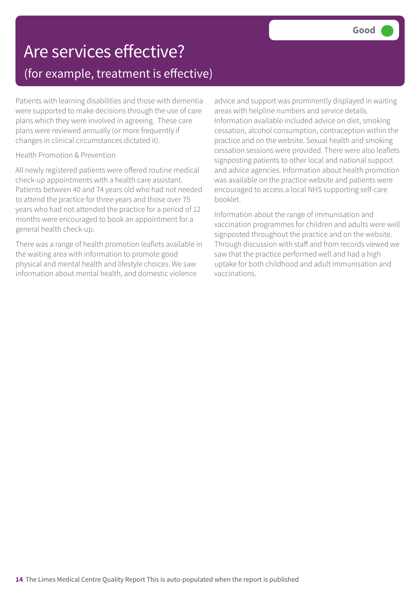### Are services effective? (for example, treatment is effective)

Patients with learning disabilities and those with dementia were supported to make decisions through the use of care plans which they were involved in agreeing. These care plans were reviewed annually (or more frequently if changes in clinical circumstances dictated it).

#### Health Promotion & Prevention

All newly registered patients were offered routine medical check-up appointments with a health care assistant. Patients between 40 and 74 years old who had not needed to attend the practice for three years and those over 75 years who had not attended the practice for a period of 12 months were encouraged to book an appointment for a general health check-up.

There was a range of health promotion leaflets available in the waiting area with information to promote good physical and mental health and lifestyle choices. We saw information about mental health, and domestic violence

advice and support was prominently displayed in waiting areas with helpline numbers and service details. Information available included advice on diet, smoking cessation, alcohol consumption, contraception within the practice and on the website. Sexual health and smoking cessation sessions were provided. There were also leaflets signposting patients to other local and national support and advice agencies. Information about health promotion was available on the practice website and patients were encouraged to access a local NHS supporting self-care booklet.

Information about the range of immunisation and vaccination programmes for children and adults were well signposted throughout the practice and on the website. Through discussion with staff and from records viewed we saw that the practice performed well and had a high uptake for both childhood and adult immunisation and vaccinations.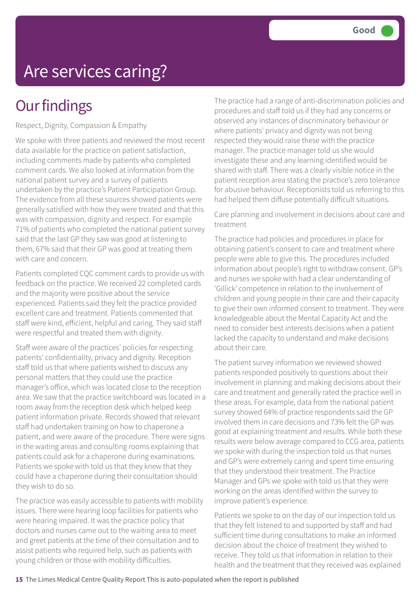# Are services caring?

### **Our findings**

Respect, Dignity, Compassion & Empathy

We spoke with three patients and reviewed the most recent data available for the practice on patient satisfaction, including comments made by patients who completed comment cards. We also looked at information from the national patient survey and a survey of patients undertaken by the practice's Patient Participation Group. The evidence from all these sources showed patients were generally satisfied with how they were treated and that this was with compassion, dignity and respect. For example 71% of patients who completed the national patient survey said that the last GP they saw was good at listening to them, 67% said that their GP was good at treating them with care and concern.

Patients completed CQC comment cards to provide us with feedback on the practice. We received 22 completed cards and the majority were positive about the service experienced. Patients said they felt the practice provided excellent care and treatment. Patients commented that staff were kind, efficient, helpful and caring. They said staff were respectful and treated them with dignity.

Staff were aware of the practices' policies for respecting patients' confidentiality, privacy and dignity. Reception staff told us that where patients wished to discuss any personal matters that they could use the practice manager's office, which was located close to the reception area. We saw that the practice switchboard was located in a room away from the reception desk which helped keep patient information private. Records showed that relevant staff had undertaken training on how to chaperone a patient, and were aware of the procedure. There were signs in the waiting areas and consulting rooms explaining that patients could ask for a chaperone during examinations. Patients we spoke with told us that they knew that they could have a chaperone during their consultation should they wish to do so.

The practice was easily accessible to patients with mobility issues. There were hearing loop facilities for patients who were hearing impaired. It was the practice policy that doctors and nurses came out to the waiting area to meet and greet patients at the time of their consultation and to assist patients who required help, such as patients with young children or those with mobility difficulties.

The practice had a range of anti-discrimination policies and procedures and staff told us if they had any concerns or observed any instances of discriminatory behaviour or where patients' privacy and dignity was not being respected they would raise these with the practice manager. The practice manager told us she would investigate these and any learning identified would be shared with staff. There was a clearly visible notice in the patient reception area stating the practice's zero tolerance for abusive behaviour. Receptionists told us referring to this had helped them diffuse potentially difficult situations.

Care planning and involvement in decisions about care and treatment

The practice had policies and procedures in place for obtaining patient's consent to care and treatment where people were able to give this. The procedures included information about people's right to withdraw consent. GP's and nurses we spoke with had a clear understanding of 'Gillick' competence in relation to the involvement of children and young people in their care and their capacity to give their own informed consent to treatment. They were knowledgeable about the Mental Capacity Act and the need to consider best interests decisions when a patient lacked the capacity to understand and make decisions about their care.

The patient survey information we reviewed showed patients responded positively to questions about their involvement in planning and making decisions about their care and treatment and generally rated the practice well in these areas. For example, data from the national patient survey showed 64% of practice respondents said the GP involved them in care decisions and 73% felt the GP was good at explaining treatment and results. While both these results were below average compared to CCG area, patients we spoke with during the inspection told us that nurses and GP's were extremely caring and spent time ensuring that they understood their treatment. The Practice Manager and GPs we spoke with told us that they were working on the areas identified within the survey to improve patient's experience.

Patients we spoke to on the day of our inspection told us that they felt listened to and supported by staff and had sufficient time during consultations to make an informed decision about the choice of treatment they wished to receive. They told us that information in relation to their health and the treatment that they received was explained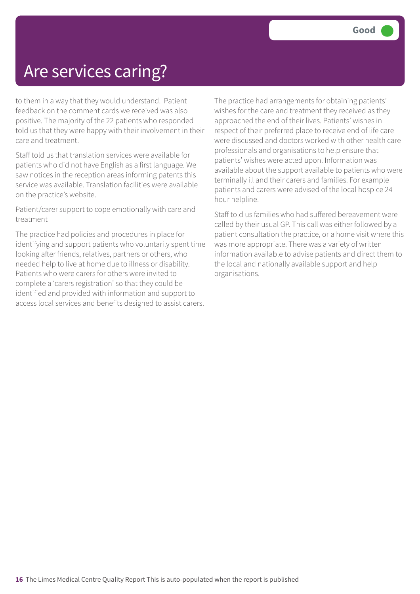### Are services caring?

to them in a way that they would understand. Patient feedback on the comment cards we received was also positive. The majority of the 22 patients who responded told us that they were happy with their involvement in their care and treatment.

Staff told us that translation services were available for patients who did not have English as a first language. We saw notices in the reception areas informing patents this service was available. Translation facilities were available on the practice's website.

Patient/carer support to cope emotionally with care and treatment

The practice had policies and procedures in place for identifying and support patients who voluntarily spent time looking after friends, relatives, partners or others, who needed help to live at home due to illness or disability. Patients who were carers for others were invited to complete a 'carers registration' so that they could be identified and provided with information and support to access local services and benefits designed to assist carers.

The practice had arrangements for obtaining patients' wishes for the care and treatment they received as they approached the end of their lives. Patients' wishes in respect of their preferred place to receive end of life care were discussed and doctors worked with other health care professionals and organisations to help ensure that patients' wishes were acted upon. Information was available about the support available to patients who were terminally ill and their carers and families. For example patients and carers were advised of the local hospice 24 hour helpline.

Staff told us families who had suffered bereavement were called by their usual GP. This call was either followed by a patient consultation the practice, or a home visit where this was more appropriate. There was a variety of written information available to advise patients and direct them to the local and nationally available support and help organisations.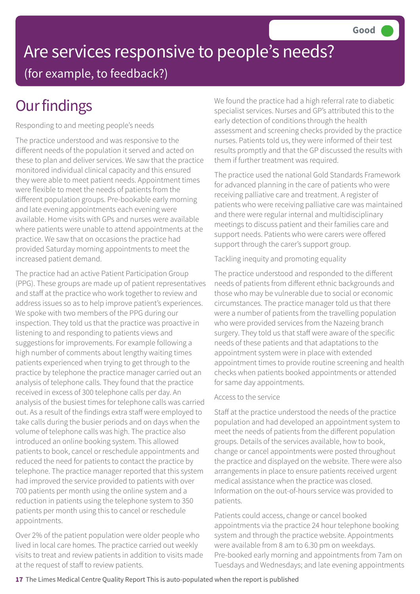# Are services responsive to people's needs? (for example, to feedback?)

## **Our findings**

Responding to and meeting people's needs

The practice understood and was responsive to the different needs of the population it served and acted on these to plan and deliver services. We saw that the practice monitored individual clinical capacity and this ensured they were able to meet patient needs. Appointment times were flexible to meet the needs of patients from the different population groups. Pre-bookable early morning and late evening appointments each evening were available. Home visits with GPs and nurses were available where patients were unable to attend appointments at the practice. We saw that on occasions the practice had provided Saturday morning appointments to meet the increased patient demand.

The practice had an active Patient Participation Group (PPG). These groups are made up of patient representatives and staff at the practice who work together to review and address issues so as to help improve patient's experiences. We spoke with two members of the PPG during our inspection. They told us that the practice was proactive in listening to and responding to patients views and suggestions for improvements. For example following a high number of comments about lengthy waiting times patients experienced when trying to get through to the practice by telephone the practice manager carried out an analysis of telephone calls. They found that the practice received in excess of 300 telephone calls per day. An analysis of the busiest times for telephone calls was carried out. As a result of the findings extra staff were employed to take calls during the busier periods and on days when the volume of telephone calls was high. The practice also introduced an online booking system. This allowed patients to book, cancel or reschedule appointments and reduced the need for patients to contact the practice by telephone. The practice manager reported that this system had improved the service provided to patients with over 700 patients per month using the online system and a reduction in patients using the telephone system to 350 patients per month using this to cancel or reschedule appointments.

Over 2% of the patient population were older people who lived in local care homes. The practice carried out weekly visits to treat and review patients in addition to visits made at the request of staff to review patients.

We found the practice had a high referral rate to diabetic specialist services. Nurses and GP's attributed this to the early detection of conditions through the health assessment and screening checks provided by the practice nurses. Patients told us, they were informed of their test results promptly and that the GP discussed the results with them if further treatment was required.

The practice used the national Gold Standards Framework for advanced planning in the care of patients who were receiving palliative care and treatment. A register of patients who were receiving palliative care was maintained and there were regular internal and multidisciplinary meetings to discuss patient and their families care and support needs. Patients who were carers were offered support through the carer's support group.

#### Tackling inequity and promoting equality

The practice understood and responded to the different needs of patients from different ethnic backgrounds and those who may be vulnerable due to social or economic circumstances. The practice manager told us that there were a number of patients from the travelling population who were provided services from the Nazeing branch surgery. They told us that staff were aware of the specific needs of these patients and that adaptations to the appointment system were in place with extended appointment times to provide routine screening and health checks when patients booked appointments or attended for same day appointments.

#### Access to the service

Staff at the practice understood the needs of the practice population and had developed an appointment system to meet the needs of patients from the different population groups. Details of the services available, how to book, change or cancel appointments were posted throughout the practice and displayed on the website. There were also arrangements in place to ensure patients received urgent medical assistance when the practice was closed. Information on the out-of-hours service was provided to patients.

Patients could access, change or cancel booked appointments via the practice 24 hour telephone booking system and through the practice website. Appointments were available from 8 am to 6.30 pm on weekdays. Pre-booked early morning and appointments from 7am on Tuesdays and Wednesdays; and late evening appointments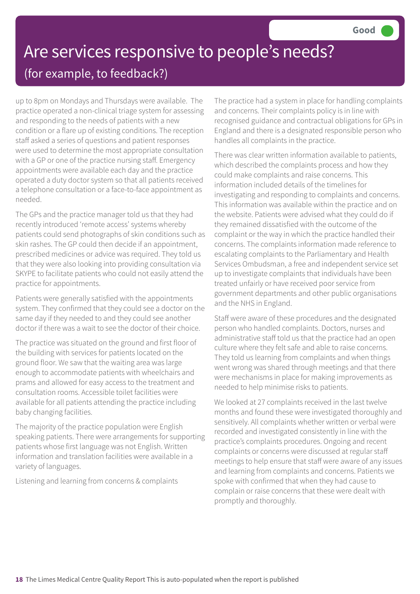### Are services responsive to people's needs? (for example, to feedback?)

up to 8pm on Mondays and Thursdays were available. The practice operated a non-clinical triage system for assessing and responding to the needs of patients with a new condition or a flare up of existing conditions. The reception staff asked a series of questions and patient responses were used to determine the most appropriate consultation with a GP or one of the practice nursing staff. Emergency appointments were available each day and the practice operated a duty doctor system so that all patients received a telephone consultation or a face-to-face appointment as needed.

The GPs and the practice manager told us that they had recently introduced 'remote access' systems whereby patients could send photographs of skin conditions such as skin rashes. The GP could then decide if an appointment, prescribed medicines or advice was required. They told us that they were also looking into providing consultation via SKYPE to facilitate patients who could not easily attend the practice for appointments.

Patients were generally satisfied with the appointments system. They confirmed that they could see a doctor on the same day if they needed to and they could see another doctor if there was a wait to see the doctor of their choice.

The practice was situated on the ground and first floor of the building with services for patients located on the ground floor. We saw that the waiting area was large enough to accommodate patients with wheelchairs and prams and allowed for easy access to the treatment and consultation rooms. Accessible toilet facilities were available for all patients attending the practice including baby changing facilities.

The majority of the practice population were English speaking patients. There were arrangements for supporting patients whose first language was not English. Written information and translation facilities were available in a variety of languages.

Listening and learning from concerns & complaints

The practice had a system in place for handling complaints and concerns. Their complaints policy is in line with recognised guidance and contractual obligations for GPs in England and there is a designated responsible person who handles all complaints in the practice.

There was clear written information available to patients, which described the complaints process and how they could make complaints and raise concerns. This information included details of the timelines for investigating and responding to complaints and concerns. This information was available within the practice and on the website. Patients were advised what they could do if they remained dissatisfied with the outcome of the complaint or the way in which the practice handled their concerns. The complaints information made reference to escalating complaints to the Parliamentary and Health Services Ombudsman, a free and independent service set up to investigate complaints that individuals have been treated unfairly or have received poor service from government departments and other public organisations and the NHS in England.

Staff were aware of these procedures and the designated person who handled complaints. Doctors, nurses and administrative staff told us that the practice had an open culture where they felt safe and able to raise concerns. They told us learning from complaints and when things went wrong was shared through meetings and that there were mechanisms in place for making improvements as needed to help minimise risks to patients.

We looked at 27 complaints received in the last twelve months and found these were investigated thoroughly and sensitively. All complaints whether written or verbal were recorded and investigated consistently in line with the practice's complaints procedures. Ongoing and recent complaints or concerns were discussed at regular staff meetings to help ensure that staff were aware of any issues and learning from complaints and concerns. Patients we spoke with confirmed that when they had cause to complain or raise concerns that these were dealt with promptly and thoroughly.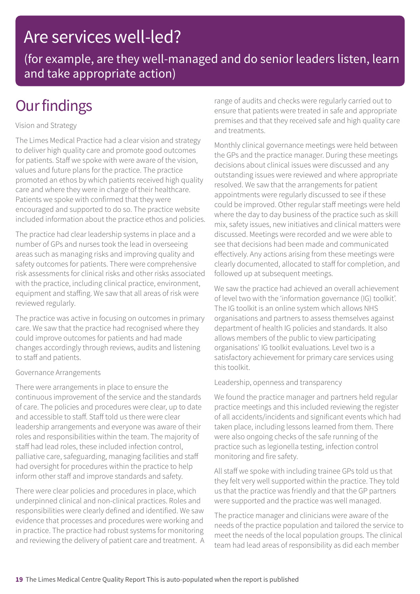### Are services well-led?

(for example, are they well-managed and do senior leaders listen, learn and take appropriate action)

### **Our findings**

#### Vision and Strategy

The Limes Medical Practice had a clear vision and strategy to deliver high quality care and promote good outcomes for patients. Staff we spoke with were aware of the vision, values and future plans for the practice. The practice promoted an ethos by which patients received high quality care and where they were in charge of their healthcare. Patients we spoke with confirmed that they were encouraged and supported to do so. The practice website included information about the practice ethos and policies.

The practice had clear leadership systems in place and a number of GPs and nurses took the lead in overseeing areas such as managing risks and improving quality and safety outcomes for patients. There were comprehensive risk assessments for clinical risks and other risks associated with the practice, including clinical practice, environment, equipment and staffing. We saw that all areas of risk were reviewed regularly.

The practice was active in focusing on outcomes in primary care. We saw that the practice had recognised where they could improve outcomes for patients and had made changes accordingly through reviews, audits and listening to staff and patients.

#### Governance Arrangements

There were arrangements in place to ensure the continuous improvement of the service and the standards of care. The policies and procedures were clear, up to date and accessible to staff. Staff told us there were clear leadership arrangements and everyone was aware of their roles and responsibilities within the team. The majority of staff had lead roles, these included infection control, palliative care, safeguarding, managing facilities and staff had oversight for procedures within the practice to help inform other staff and improve standards and safety.

There were clear policies and procedures in place, which underpinned clinical and non-clinical practices. Roles and responsibilities were clearly defined and identified. We saw evidence that processes and procedures were working and in practice. The practice had robust systems for monitoring and reviewing the delivery of patient care and treatment. A range of audits and checks were regularly carried out to ensure that patients were treated in safe and appropriate premises and that they received safe and high quality care and treatments.

Monthly clinical governance meetings were held between the GPs and the practice manager. During these meetings decisions about clinical issues were discussed and any outstanding issues were reviewed and where appropriate resolved. We saw that the arrangements for patient appointments were regularly discussed to see if these could be improved. Other regular staff meetings were held where the day to day business of the practice such as skill mix, safety issues, new initiatives and clinical matters were discussed. Meetings were recorded and we were able to see that decisions had been made and communicated effectively. Any actions arising from these meetings were clearly documented, allocated to staff for completion, and followed up at subsequent meetings.

We saw the practice had achieved an overall achievement of level two with the 'information governance (IG) toolkit'. The IG toolkit is an online system which allows NHS organisations and partners to assess themselves against department of health IG policies and standards. It also allows members of the public to view participating organisations' IG toolkit evaluations. Level two is a satisfactory achievement for primary care services using this toolkit.

#### Leadership, openness and transparency

We found the practice manager and partners held regular practice meetings and this included reviewing the register of all accidents/incidents and significant events which had taken place, including lessons learned from them. There were also ongoing checks of the safe running of the practice such as legionella testing, infection control monitoring and fire safety.

All staff we spoke with including trainee GPs told us that they felt very well supported within the practice. They told us that the practice was friendly and that the GP partners were supported and the practice was well managed.

The practice manager and clinicians were aware of the needs of the practice population and tailored the service to meet the needs of the local population groups. The clinical team had lead areas of responsibility as did each member